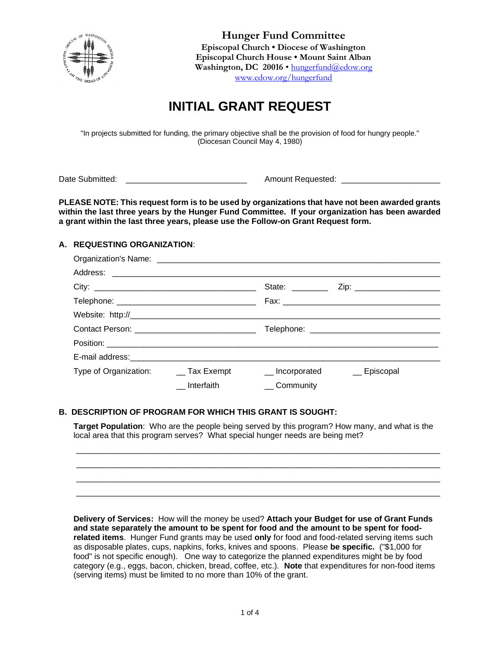

**Hunger Fund Committee Episcopal Church • Diocese of Washington Episcopal Church House • Mount Saint Alban** Washington, DC 20016 · [hungerfund@edow.org](mailto:hungerfund@edow.org) [www.edow.org/hungerfund](http://www.edow.org/hungerfund)

# **INITIAL GRANT REQUEST**

"In projects submitted for funding, the primary objective shall be the provision of food for hungry people." (Diocesan Council May 4, 1980)

Date Submitted: \_\_\_\_\_\_\_\_\_\_\_\_\_\_\_\_\_\_\_\_\_\_\_\_\_\_\_ Amount Requested: \_\_\_\_\_\_\_\_\_\_\_\_\_\_\_\_\_\_\_\_\_\_

**PLEASE NOTE: This request form is to be used by organizations that have not been awarded grants within the last three years by the Hunger Fund Committee. If your organization has been awarded a grant within the last three years, please use the Follow-on Grant Request form.**

# **A. REQUESTING ORGANIZATION**:

| City: $\qquad \qquad$                  |            | State: <u>_______</u> |             |
|----------------------------------------|------------|-----------------------|-------------|
|                                        |            |                       |             |
|                                        |            |                       |             |
|                                        |            |                       |             |
|                                        |            |                       |             |
|                                        |            |                       |             |
| Type of Organization: _____ Tax Exempt |            | __ Incorporated       | _ Episcopal |
|                                        | Interfaith | __Community           |             |

### **B. DESCRIPTION OF PROGRAM FOR WHICH THIS GRANT IS SOUGHT:**

**Target Population**: Who are the people being served by this program? How many, and what is the local area that this program serves? What special hunger needs are being met?

\_\_\_\_\_\_\_\_\_\_\_\_\_\_\_\_\_\_\_\_\_\_\_\_\_\_\_\_\_\_\_\_\_\_\_\_\_\_\_\_\_\_\_\_\_\_\_\_\_\_\_\_\_\_\_\_\_\_\_\_\_\_\_\_\_\_\_\_\_\_\_\_\_\_\_\_\_\_\_\_\_ \_\_\_\_\_\_\_\_\_\_\_\_\_\_\_\_\_\_\_\_\_\_\_\_\_\_\_\_\_\_\_\_\_\_\_\_\_\_\_\_\_\_\_\_\_\_\_\_\_\_\_\_\_\_\_\_\_\_\_\_\_\_\_\_\_\_\_\_\_\_\_\_\_\_\_\_\_\_\_\_\_ \_\_\_\_\_\_\_\_\_\_\_\_\_\_\_\_\_\_\_\_\_\_\_\_\_\_\_\_\_\_\_\_\_\_\_\_\_\_\_\_\_\_\_\_\_\_\_\_\_\_\_\_\_\_\_\_\_\_\_\_\_\_\_\_\_\_\_\_\_\_\_\_\_\_\_\_\_\_\_\_\_ \_\_\_\_\_\_\_\_\_\_\_\_\_\_\_\_\_\_\_\_\_\_\_\_\_\_\_\_\_\_\_\_\_\_\_\_\_\_\_\_\_\_\_\_\_\_\_\_\_\_\_\_\_\_\_\_\_\_\_\_\_\_\_\_\_\_\_\_\_\_\_\_\_\_\_\_\_\_\_\_\_

**Delivery of Services:** How will the money be used? **Attach your Budget for use of Grant Funds and state separately the amount to be spent for food and the amount to be spent for foodrelated items**. Hunger Fund grants may be used **only** for food and food-related serving items such as disposable plates, cups, napkins, forks, knives and spoons. Please **be specific.** ("\$1,000 for food" is not specific enough). One way to categorize the planned expenditures might be by food category (e.g., eggs, bacon, chicken, bread, coffee, etc.). **Note** that expenditures for non-food items (serving items) must be limited to no more than 10% of the grant.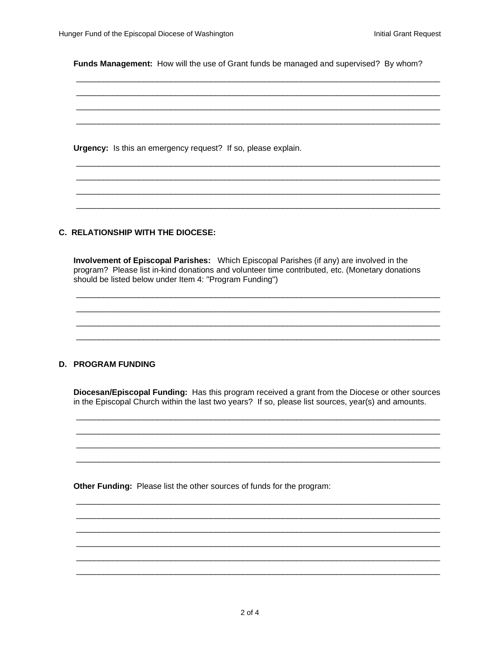Funds Management: How will the use of Grant funds be managed and supervised? By whom?

Urgency: Is this an emergency request? If so, please explain.

### C. RELATIONSHIP WITH THE DIOCESE:

Involvement of Episcopal Parishes: Which Episcopal Parishes (if any) are involved in the program? Please list in-kind donations and volunteer time contributed, etc. (Monetary donations should be listed below under Item 4: "Program Funding")

## **D. PROGRAM FUNDING**

Diocesan/Episcopal Funding: Has this program received a grant from the Diocese or other sources in the Episcopal Church within the last two years? If so, please list sources, year(s) and amounts.

Other Funding: Please list the other sources of funds for the program: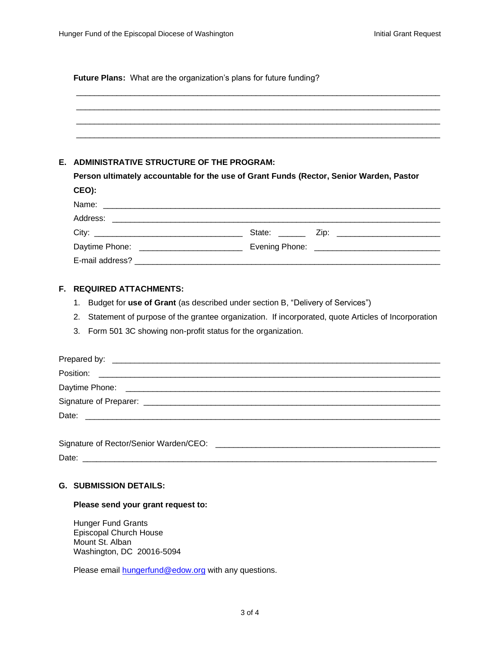|    | Future Plans: What are the organization's plans for future funding?                     |                                                                                                    |  |  |  |
|----|-----------------------------------------------------------------------------------------|----------------------------------------------------------------------------------------------------|--|--|--|
|    | E. ADMINISTRATIVE STRUCTURE OF THE PROGRAM:                                             |                                                                                                    |  |  |  |
|    | Person ultimately accountable for the use of Grant Funds (Rector, Senior Warden, Pastor |                                                                                                    |  |  |  |
|    | CEO):                                                                                   |                                                                                                    |  |  |  |
|    |                                                                                         |                                                                                                    |  |  |  |
|    |                                                                                         |                                                                                                    |  |  |  |
|    |                                                                                         |                                                                                                    |  |  |  |
|    |                                                                                         |                                                                                                    |  |  |  |
|    |                                                                                         |                                                                                                    |  |  |  |
| Е. | <b>REQUIRED ATTACHMENTS:</b>                                                            |                                                                                                    |  |  |  |
|    | Budget for use of Grant (as described under section B, "Delivery of Services")<br>1.    |                                                                                                    |  |  |  |
|    | 2.                                                                                      | Statement of purpose of the grantee organization. If incorporated, quote Articles of Incorporation |  |  |  |
|    | 3.<br>Form 501 3C showing non-profit status for the organization.                       |                                                                                                    |  |  |  |
|    |                                                                                         |                                                                                                    |  |  |  |
|    | Position:                                                                               |                                                                                                    |  |  |  |

# **G. SUBMISSION DETAILS:**

# **Please send your grant request to:**

Hunger Fund Grants Episcopal Church House Mount St. Alban Washington, DC 20016-5094

Please email **hungerfund@edow.org** with any questions.

Daytime Phone: \_\_\_\_\_\_\_\_\_\_\_\_\_\_\_\_\_\_\_\_\_\_\_\_\_\_\_\_\_\_\_\_\_\_\_\_\_\_\_\_\_\_\_\_\_\_\_\_\_\_\_\_\_\_\_\_\_\_\_\_\_\_\_\_\_\_\_\_\_\_

Date: \_\_\_\_\_\_\_\_\_\_\_\_\_\_\_\_\_\_\_\_\_\_\_\_\_\_\_\_\_\_\_\_\_\_\_\_\_\_\_\_\_\_\_\_\_\_\_\_\_\_\_\_\_\_\_\_\_\_\_\_\_\_\_\_\_\_\_\_\_\_\_\_\_\_\_\_\_\_\_

Date: \_\_\_\_\_\_\_\_\_\_\_\_\_\_\_\_\_\_\_\_\_\_\_\_\_\_\_\_\_\_\_\_\_\_\_\_\_\_\_\_\_\_\_\_\_\_\_\_\_\_\_\_\_\_\_\_\_\_\_\_\_\_\_\_\_\_\_\_\_\_\_\_\_\_\_\_\_\_

Signature of Preparer: \_\_\_\_\_\_\_\_\_\_\_\_\_\_\_\_\_\_\_\_\_\_\_\_\_\_\_\_\_\_\_\_\_\_\_\_\_\_\_\_\_\_\_\_\_\_\_\_\_\_\_\_\_\_\_\_\_\_\_\_\_\_\_\_\_\_

Signature of Rector/Senior Warden/CEO: \_\_\_\_\_\_\_\_\_\_\_\_\_\_\_\_\_\_\_\_\_\_\_\_\_\_\_\_\_\_\_\_\_\_\_\_\_\_\_\_\_\_\_\_\_\_\_\_\_\_